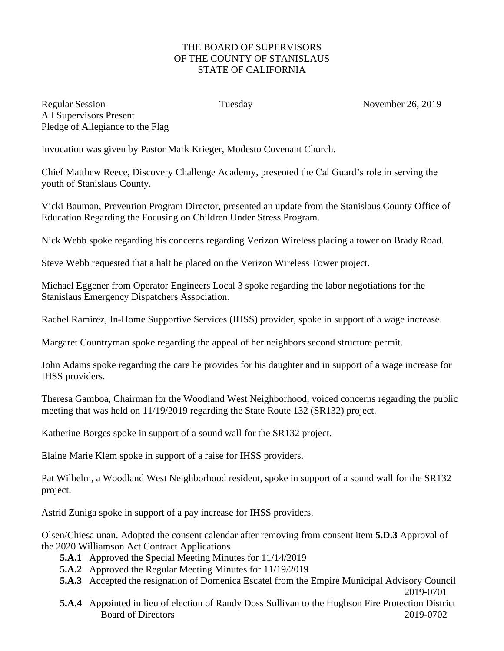## THE BOARD OF SUPERVISORS OF THE COUNTY OF STANISLAUS STATE OF CALIFORNIA

Regular Session Tuesday Tuesday November 26, 2019 All Supervisors Present Pledge of Allegiance to the Flag

Invocation was given by Pastor Mark Krieger, Modesto Covenant Church.

Chief Matthew Reece, Discovery Challenge Academy, presented the Cal Guard's role in serving the youth of Stanislaus County.

Vicki Bauman, Prevention Program Director, presented an update from the Stanislaus County Office of Education Regarding the Focusing on Children Under Stress Program.

Nick Webb spoke regarding his concerns regarding Verizon Wireless placing a tower on Brady Road.

Steve Webb requested that a halt be placed on the Verizon Wireless Tower project.

Michael Eggener from Operator Engineers Local 3 spoke regarding the labor negotiations for the Stanislaus Emergency Dispatchers Association.

Rachel Ramirez, In-Home Supportive Services (IHSS) provider, spoke in support of a wage increase.

Margaret Countryman spoke regarding the appeal of her neighbors second structure permit.

John Adams spoke regarding the care he provides for his daughter and in support of a wage increase for IHSS providers.

Theresa Gamboa, Chairman for the Woodland West Neighborhood, voiced concerns regarding the public meeting that was held on 11/19/2019 regarding the State Route 132 (SR132) project.

Katherine Borges spoke in support of a sound wall for the SR132 project.

Elaine Marie Klem spoke in support of a raise for IHSS providers.

Pat Wilhelm, a Woodland West Neighborhood resident, spoke in support of a sound wall for the SR132 project.

Astrid Zuniga spoke in support of a pay increase for IHSS providers.

Olsen/Chiesa unan. Adopted the consent calendar after removing from consent item **5.D.3** Approval of the 2020 Williamson Act Contract Applications

- **5.A.1** Approved the Special Meeting Minutes for 11/14/2019
- **5.A.2** Approved the Regular Meeting Minutes for 11/19/2019
- **5.A.3** Accepted the resignation of Domenica Escatel from the Empire Municipal Advisory Council 2019-0701
- **5.A.4** Appointed in lieu of election of Randy Doss Sullivan to the Hughson Fire Protection District Board of Directors 2019-0702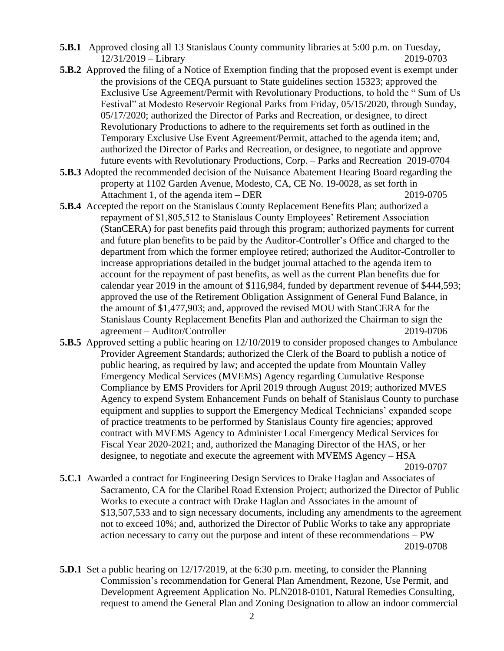- **5.B.1** Approved closing all 13 Stanislaus County community libraries at 5:00 p.m. on Tuesday, 12/31/2019 – Library 2019-0703
- **5.B.2** Approved the filing of a Notice of Exemption finding that the proposed event is exempt under the provisions of the CEQA pursuant to State guidelines section 15323; approved the Exclusive Use Agreement/Permit with Revolutionary Productions, to hold the " Sum of Us Festival" at Modesto Reservoir Regional Parks from Friday, 05/15/2020, through Sunday, 05/17/2020; authorized the Director of Parks and Recreation, or designee, to direct Revolutionary Productions to adhere to the requirements set forth as outlined in the Temporary Exclusive Use Event Agreement/Permit, attached to the agenda item; and, authorized the Director of Parks and Recreation, or designee, to negotiate and approve future events with Revolutionary Productions, Corp. – Parks and Recreation 2019-0704
- **5.B.3** Adopted the recommended decision of the Nuisance Abatement Hearing Board regarding the property at 1102 Garden Avenue, Modesto, CA, CE No. 19-0028, as set forth in Attachment 1, of the agenda item – DER 2019-0705
- **5.B.4** Accepted the report on the Stanislaus County Replacement Benefits Plan; authorized a repayment of \$1,805,512 to Stanislaus County Employees' Retirement Association (StanCERA) for past benefits paid through this program; authorized payments for current and future plan benefits to be paid by the Auditor-Controller's Office and charged to the department from which the former employee retired; authorized the Auditor-Controller to increase appropriations detailed in the budget journal attached to the agenda item to account for the repayment of past benefits, as well as the current Plan benefits due for calendar year 2019 in the amount of \$116,984, funded by department revenue of \$444,593; approved the use of the Retirement Obligation Assignment of General Fund Balance, in the amount of \$1,477,903; and, approved the revised MOU with StanCERA for the Stanislaus County Replacement Benefits Plan and authorized the Chairman to sign the agreement – Auditor/Controller 2019-0706
- **5.B.5** Approved setting a public hearing on 12/10/2019 to consider proposed changes to Ambulance Provider Agreement Standards; authorized the Clerk of the Board to publish a notice of public hearing, as required by law; and accepted the update from Mountain Valley Emergency Medical Services (MVEMS) Agency regarding Cumulative Response Compliance by EMS Providers for April 2019 through August 2019; authorized MVES Agency to expend System Enhancement Funds on behalf of Stanislaus County to purchase equipment and supplies to support the Emergency Medical Technicians' expanded scope of practice treatments to be performed by Stanislaus County fire agencies; approved contract with MVEMS Agency to Administer Local Emergency Medical Services for Fiscal Year 2020-2021; and, authorized the Managing Director of the HAS, or her designee, to negotiate and execute the agreement with MVEMS Agency – HSA
	- 2019-0707
- **5.C.1** Awarded a contract for Engineering Design Services to Drake Haglan and Associates of Sacramento, CA for the Claribel Road Extension Project; authorized the Director of Public Works to execute a contract with Drake Haglan and Associates in the amount of \$13,507,533 and to sign necessary documents, including any amendments to the agreement not to exceed 10%; and, authorized the Director of Public Works to take any appropriate action necessary to carry out the purpose and intent of these recommendations – PW 2019-0708
- **5.D.1** Set a public hearing on 12/17/2019, at the 6:30 p.m. meeting, to consider the Planning Commission's recommendation for General Plan Amendment, Rezone, Use Permit, and Development Agreement Application No. PLN2018-0101, Natural Remedies Consulting, request to amend the General Plan and Zoning Designation to allow an indoor commercial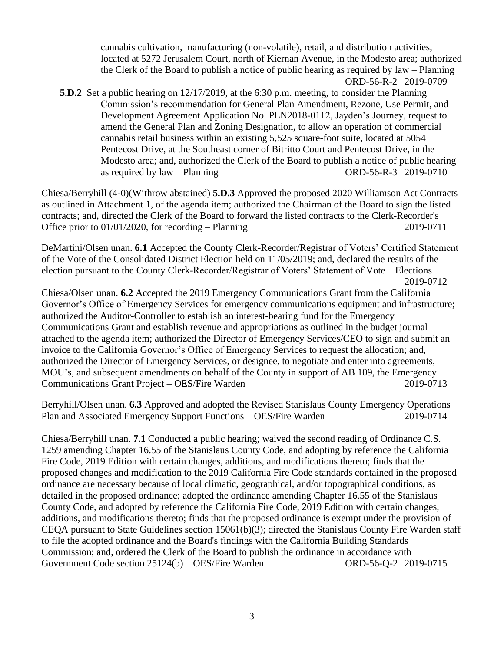cannabis cultivation, manufacturing (non-volatile), retail, and distribution activities, located at 5272 Jerusalem Court, north of Kiernan Avenue, in the Modesto area; authorized the Clerk of the Board to publish a notice of public hearing as required by law – Planning ORD-56-R-2 2019-0709

**5.D.2** Set a public hearing on 12/17/2019, at the 6:30 p.m. meeting, to consider the Planning Commission's recommendation for General Plan Amendment, Rezone, Use Permit, and Development Agreement Application No. PLN2018-0112, Jayden's Journey, request to amend the General Plan and Zoning Designation, to allow an operation of commercial cannabis retail business within an existing 5,525 square-foot suite, located at 5054 Pentecost Drive, at the Southeast corner of Bitritto Court and Pentecost Drive, in the Modesto area; and, authorized the Clerk of the Board to publish a notice of public hearing as required by law – Planning ORD-56-R-3 2019-0710

Chiesa/Berryhill (4-0)(Withrow abstained) **5.D.3** Approved the proposed 2020 Williamson Act Contracts as outlined in Attachment 1, of the agenda item; authorized the Chairman of the Board to sign the listed contracts; and, directed the Clerk of the Board to forward the listed contracts to the Clerk-Recorder's Office prior to  $01/01/2020$ , for recording – Planning 2019-0711

DeMartini/Olsen unan. **6.1** Accepted the County Clerk-Recorder/Registrar of Voters' Certified Statement of the Vote of the Consolidated District Election held on 11/05/2019; and, declared the results of the election pursuant to the County Clerk-Recorder/Registrar of Voters' Statement of Vote – Elections 2019-0712

Chiesa/Olsen unan. **6.2** Accepted the 2019 Emergency Communications Grant from the California Governor's Office of Emergency Services for emergency communications equipment and infrastructure; authorized the Auditor-Controller to establish an interest-bearing fund for the Emergency Communications Grant and establish revenue and appropriations as outlined in the budget journal attached to the agenda item; authorized the Director of Emergency Services/CEO to sign and submit an invoice to the California Governor's Office of Emergency Services to request the allocation; and, authorized the Director of Emergency Services, or designee, to negotiate and enter into agreements, MOU's, and subsequent amendments on behalf of the County in support of AB 109, the Emergency Communications Grant Project – OES/Fire Warden 2019-0713

Berryhill/Olsen unan. **6.3** Approved and adopted the Revised Stanislaus County Emergency Operations Plan and Associated Emergency Support Functions – OES/Fire Warden 2019-0714

Chiesa/Berryhill unan. **7.1** Conducted a public hearing; waived the second reading of Ordinance C.S. 1259 amending Chapter 16.55 of the Stanislaus County Code, and adopting by reference the California Fire Code, 2019 Edition with certain changes, additions, and modifications thereto; finds that the proposed changes and modification to the 2019 California Fire Code standards contained in the proposed ordinance are necessary because of local climatic, geographical, and/or topographical conditions, as detailed in the proposed ordinance; adopted the ordinance amending Chapter 16.55 of the Stanislaus County Code, and adopted by reference the California Fire Code, 2019 Edition with certain changes, additions, and modifications thereto; finds that the proposed ordinance is exempt under the provision of CEQA pursuant to State Guidelines section 15061(b)(3); directed the Stanislaus County Fire Warden staff to file the adopted ordinance and the Board's findings with the California Building Standards Commission; and, ordered the Clerk of the Board to publish the ordinance in accordance with Government Code section 25124(b) – OES/Fire Warden ORD-56-Q-2 2019-0715